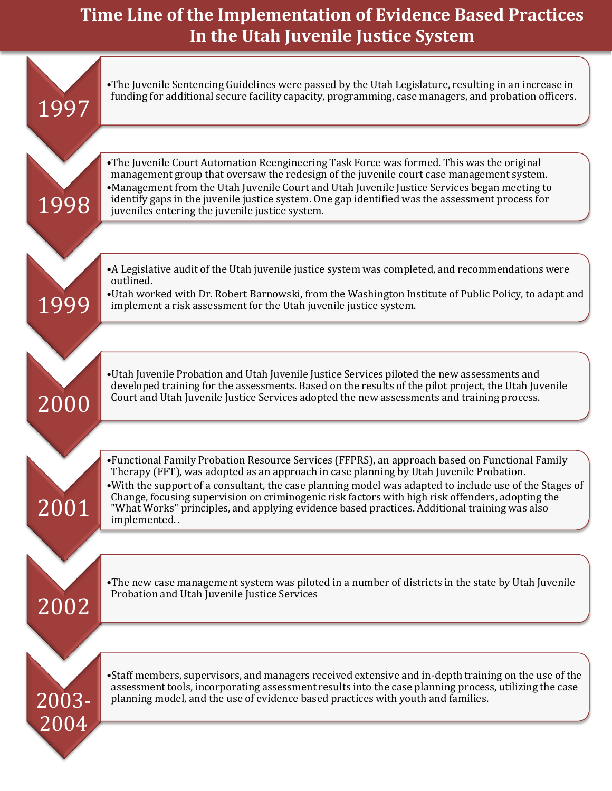## **Time Line of the Implementation of Evidence Based Practices In the Utah Juvenile Justice System**